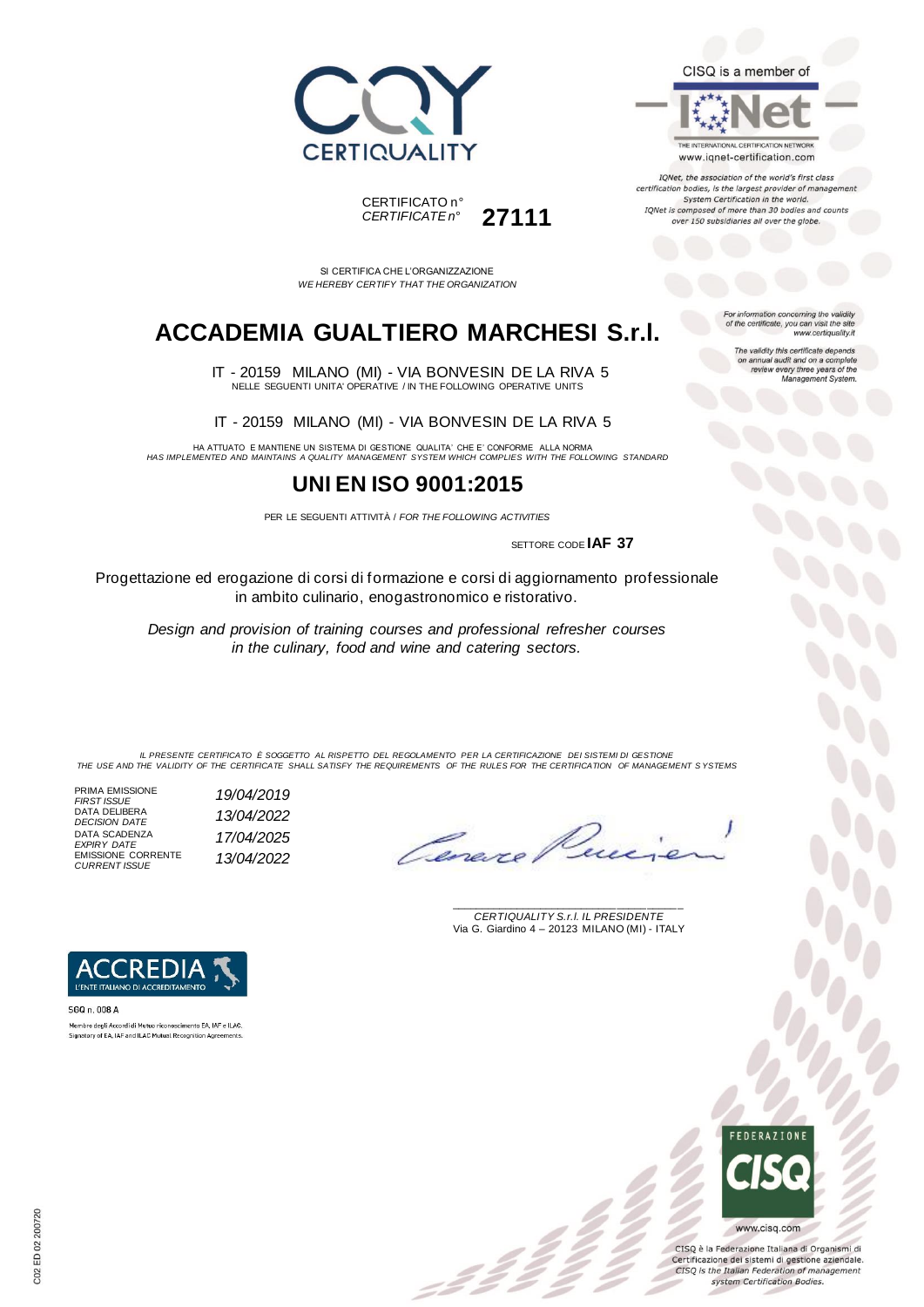



THE INTERNATIONAL CERTIFICATION NETWORK www.iqnet-certification.com

IQNet, the association of the world's first class certification bodies, is the largest provider of manageme. System Certification in the world. IQNet is composed of more than 30 bodies and counts over 150 subsidiaries all over the globe.

CERTIFICATO n° *CERTIFICATE n°* **27111**

SI CERTIFICA CHE L'ORGANIZZAZIONE *WE HEREBY CERTIFY THAT THE ORGANIZATION*

## **ACCADEMIA GUALTIERO MARCHESI S.r.l.**

 IT - 20159 MILANO (MI) - VIA BONVESIN DE LA RIVA 5 NELLE SEGUENTI UNITA' OPERATIVE / IN THE FOLLOWING OPERATIVE UNITS

IT - 20159 MILANO (MI) - VIA BONVESIN DE LA RIVA 5

HA ATTUATO E MANTIENE UN SISTEMA DI GESTIONE QUALITA' CHE E' CONFORME ALLA NORMA *HAS IMPLEMENTED AND MAINTAINS A QUALITY MANAGEMENT SYSTEM WHICH COMPLIES WITH THE FOLLOWING STANDARD*

#### **UNI EN ISO 9001:2015**

PER LE SEGUENTI ATTIVITÀ / *FOR THE FOLLOWING ACTIVITIES*

SETTORE CODE **IAF 37**

Progettazione ed erogazione di corsi di formazione e corsi di aggiornamento professionale in ambito culinario, enogastronomico e ristorativo.

*Design and provision of training courses and professional refresher courses in the culinary, food and wine and catering sectors.*

*IL PRESENTE CERTIFICATO È SOGGETTO AL RISPETTO DEL REGOLAMENTO PER LA CERTIFICAZIONE DEI SISTEMI DI GESTIONE THE USE AND THE VALIDITY OF THE CERTIFICATE SHALL SATISFY THE REQUIREMENTS OF THE RULES FOR THE CERTIFICATION OF MANAGEMENT S YSTEMS*

 $\mathcal{L}$ 

PRIMA EMISSIONE *FIRST ISSUE 19/04/2019* DATA DELIBERA *DECISION DATE 13/04/2022* DATA SCADENZA *EXPIRY DATE 17/04/2025* EMISSIONE CORRENTE *CURRENT ISSUE 13/04/2022*

Cene

\_\_\_\_\_\_\_\_\_\_\_\_\_\_\_\_\_\_\_\_\_\_\_\_\_\_\_\_\_\_\_\_\_\_\_\_\_\_\_ *CERTIQUALITY S.r.l. IL PRESIDENTE* Via G. Giardino 4 – 20123 MILANO (MI) - ITALY



SGQ n. 008 A Membro degli Accordi di Mutuo riconoscimento EA, IAF e ILAC. Signatory of EA, IAF and ILAC Mutual Recognition Agreements



CISQ è la Federazione Italiana di Organismi di Certificazione dei sistemi di gestione aziendale. CISQ is the Italian Federation of management system Certification Bodies.

For information concerning the validity<br>of the certificate, you can visit the site www.certiquality.it

The validity this certificate depends on annual audit and on a complete<br>review every three years of the<br>Management System.